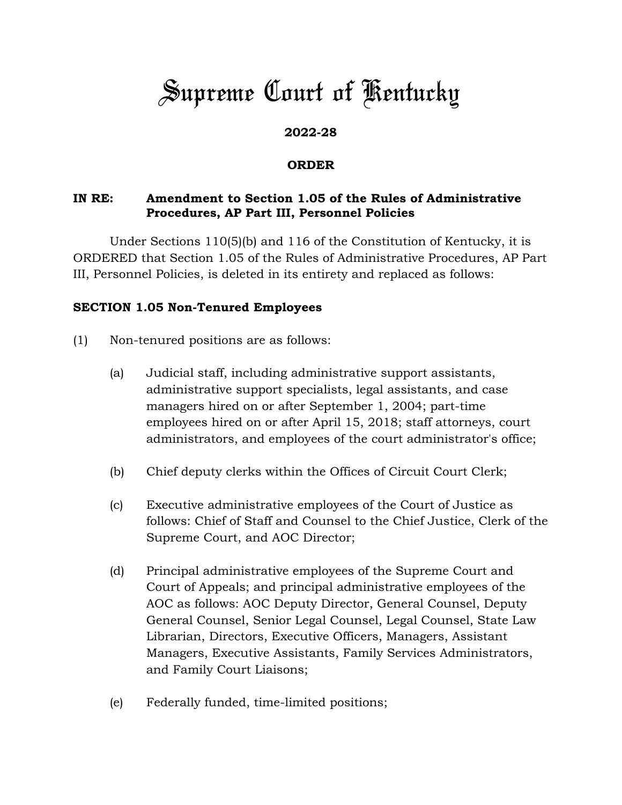# *Supreme Court of Kentucky*

## **2022-28**

#### **ORDER**

### **IN RE: Amendment to Section 1.05 of the Rules of Administrative Procedures, AP Part III, Personnel Policies**

Under Sections 110(5)(b) and 116 of the Constitution of Kentucky, it is ORDERED that Section 1.05 of the Rules of Administrative Procedures, AP Part III, Personnel Policies, is deleted in its entirety and replaced as follows:

#### **SECTION 1.05 Non-Tenured Employees**

- (1) Non-tenured positions are as follows:
	- (a) Judicial staff, including administrative support assistants, administrative support specialists, legal assistants, and case managers hired on or after September 1, 2004; part-time employees hired on or after April 15, 2018; staff attorneys, court administrators, and employees of the court administrator's office;
	- (b) Chief deputy clerks within the Offices of Circuit Court Clerk;
	- (c) Executive administrative employees of the Court of Justice as follows: Chief of Staff and Counsel to the Chief Justice, Clerk of the Supreme Court, and AOC Director;
	- (d) Principal administrative employees of the Supreme Court and Court of Appeals; and principal administrative employees of the AOC as follows: AOC Deputy Director, General Counsel, Deputy General Counsel, Senior Legal Counsel, Legal Counsel, State Law Librarian, Directors, Executive Officers, Managers, Assistant Managers, Executive Assistants, Family Services Administrators, and Family Court Liaisons;
	- (e) Federally funded, time-limited positions;